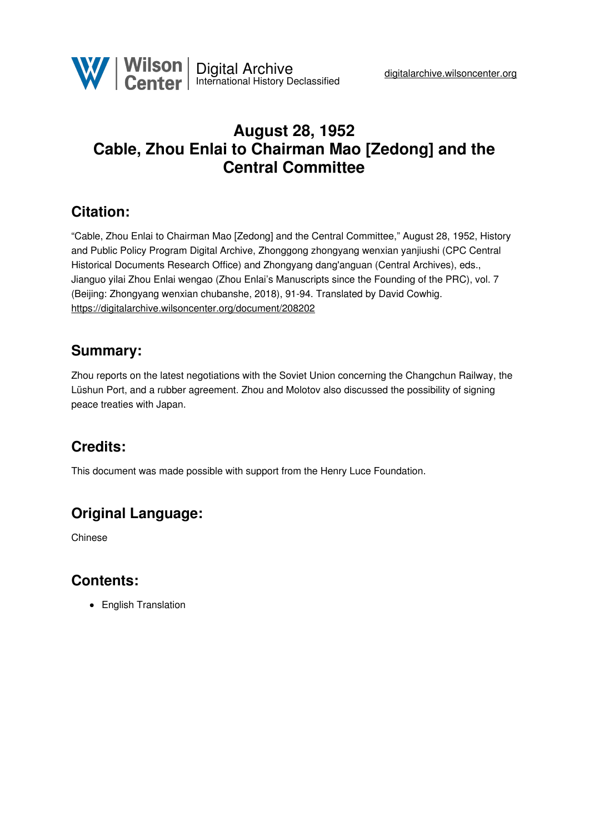# <span id="page-0-0"></span>**August 28, 1952 Cable, Zhou Enlai to Chairman Mao [Zedong] and the Central Committee**

### **Citation:**

"Cable, Zhou Enlai to Chairman Mao [Zedong] and the Central Committee," August 28, 1952, History and Public Policy Program Digital Archive, Zhonggong zhongyang wenxian yanjiushi (CPC Central Historical Documents Research Office) and Zhongyang dang'anguan (Central Archives), eds., Jianguo yilai Zhou Enlai wengao (Zhou Enlai's Manuscripts since the Founding of the PRC), vol. 7 (Beijing: Zhongyang wenxian chubanshe, 2018), 91-94. Translated by David Cowhig. <https://digitalarchive.wilsoncenter.org/document/208202>

### **Summary:**

Zhou reports on the latest negotiations with the Soviet Union concerning the Changchun Railway, the Lüshun Port, and a rubber agreement. Zhou and Molotov also discussed the possibility of signing peace treaties with Japan.

## **Credits:**

This document was made possible with support from the Henry Luce Foundation.

## **Original Language:**

Chinese

### **Contents:**

<span id="page-0-1"></span>• English Translation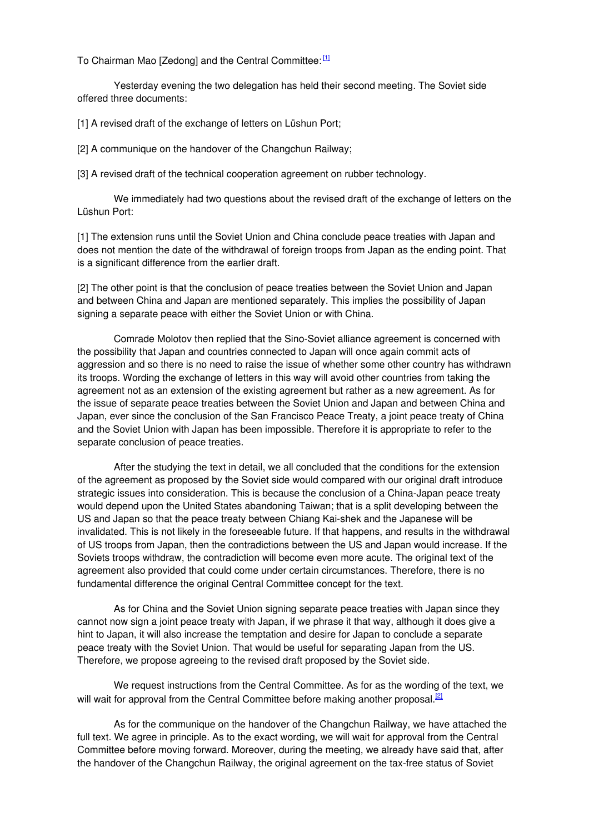To Chairman Mao [Zedong] and the Central Committee:  $^{11}$ 

Yesterday evening the two delegation has held their second meeting. The Soviet side offered three documents:

[1] A revised draft of the exchange of letters on Lüshun Port;

[2] A communique on the handover of the Changchun Railway;

[3] A revised draft of the technical cooperation agreement on rubber technology.

We immediately had two questions about the revised draft of the exchange of letters on the Lüshun Port:

[1] The extension runs until the Soviet Union and China conclude peace treaties with Japan and does not mention the date of the withdrawal of foreign troops from Japan as the ending point. That is a significant difference from the earlier draft.

[2] The other point is that the conclusion of peace treaties between the Soviet Union and Japan and between China and Japan are mentioned separately. This implies the possibility of Japan signing a separate peace with either the Soviet Union or with China.

Comrade Molotov then replied that the Sino-Soviet alliance agreement is concerned with the possibility that Japan and countries connected to Japan will once again commit acts of aggression and so there is no need to raise the issue of whether some other country has withdrawn its troops. Wording the exchange of letters in this way will avoid other countries from taking the agreement not as an extension of the existing agreement but rather as a new agreement. As for the issue of separate peace treaties between the Soviet Union and Japan and between China and Japan, ever since the conclusion of the San Francisco Peace Treaty, a joint peace treaty of China and the Soviet Union with Japan has been impossible. Therefore it is appropriate to refer to the separate conclusion of peace treaties.

After the studying the text in detail, we all concluded that the conditions for the extension of the agreement as proposed by the Soviet side would compared with our original draft introduce strategic issues into consideration. This is because the conclusion of a China-Japan peace treaty would depend upon the United States abandoning Taiwan; that is a split developing between the US and Japan so that the peace treaty between Chiang Kai-shek and the Japanese will be invalidated. This is not likely in the foreseeable future. If that happens, and results in the withdrawal of US troops from Japan, then the contradictions between the US and Japan would increase. If the Soviets troops withdraw, the contradiction will become even more acute. The original text of the agreement also provided that could come under certain circumstances. Therefore, there is no fundamental difference the original Central Committee concept for the text.

As for China and the Soviet Union signing separate peace treaties with Japan since they cannot now sign a joint peace treaty with Japan, if we phrase it that way, although it does give a hint to Japan, it will also increase the temptation and desire for Japan to conclude a separate peace treaty with the Soviet Union. That would be useful for separating Japan from the US. Therefore, we propose agreeing to the revised draft proposed by the Soviet side.

We request instructions from the Central Committee. As for as the wording of the text, we will wait for approval from the Central Committee before making another proposal.<sup>[\[2\]](#page-2-1)</sup>

As for the communique on the handover of the Changchun Railway, we have attached the full text. We agree in principle. As to the exact wording, we will wait for approval from the Central Committee before moving forward. Moreover, during the meeting, we already have said that, after the handover of the Changchun Railway, the original agreement on the tax-free status of Soviet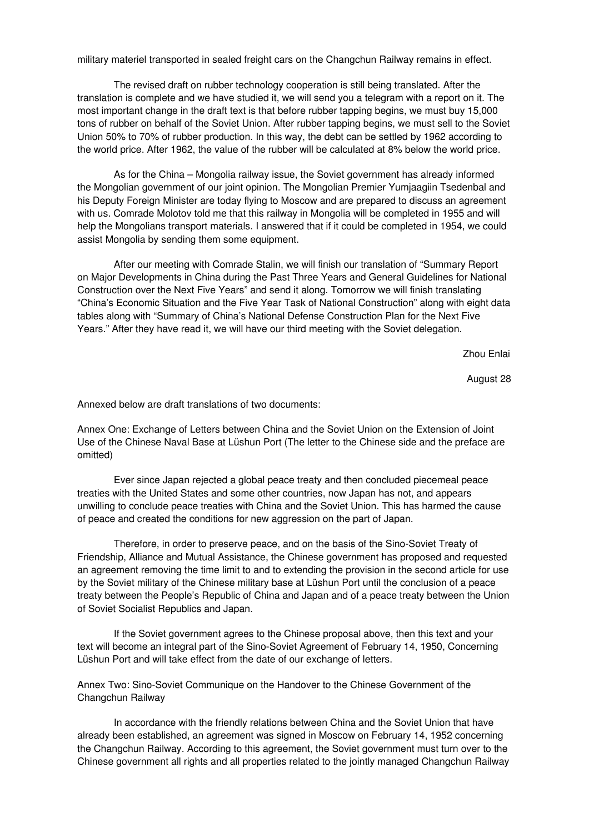military materiel transported in sealed freight cars on the Changchun Railway remains in effect.

The revised draft on rubber technology cooperation is still being translated. After the translation is complete and we have studied it, we will send you a telegram with a report on it. The most important change in the draft text is that before rubber tapping begins, we must buy 15,000 tons of rubber on behalf of the Soviet Union. After rubber tapping begins, we must sell to the Soviet Union 50% to 70% of rubber production. In this way, the debt can be settled by 1962 according to the world price. After 1962, the value of the rubber will be calculated at 8% below the world price.

<span id="page-2-0"></span>As for the China – Mongolia railway issue, the Soviet government has already informed the Mongolian government of our joint opinion. The Mongolian Premier Yumjaagiin Tsedenbal and his Deputy Foreign Minister are today flying to Moscow and are prepared to discuss an agreement with us. Comrade Molotov told me that this railway in Mongolia will be completed in 1955 and will help the Mongolians transport materials. I answered that if it could be completed in 1954, we could assist Mongolia by sending them some equipment.

<span id="page-2-1"></span>After our meeting with Comrade Stalin, we will finish our translation of "Summary Report on Major Developments in China during the Past Three Years and General Guidelines for National Construction over the Next Five Years" and send it along. Tomorrow we will finish translating "China's Economic Situation and the Five Year Task of National Construction" along with eight data tables along with "Summary of China's National Defense Construction Plan for the Next Five Years." After they have read it, we will have our third meeting with the Soviet delegation.

Zhou Enlai

August 28

Annexed below are draft translations of two documents:

Annex One: Exchange of Letters between China and the Soviet Union on the Extension of Joint Use of the Chinese Naval Base at Lüshun Port (The letter to the Chinese side and the preface are omitted)

Ever since Japan rejected a global peace treaty and then concluded piecemeal peace treaties with the United States and some other countries, now Japan has not, and appears unwilling to conclude peace treaties with China and the Soviet Union. This has harmed the cause of peace and created the conditions for new aggression on the part of Japan.

Therefore, in order to preserve peace, and on the basis of the Sino-Soviet Treaty of Friendship, Alliance and Mutual Assistance, the Chinese government has proposed and requested an agreement removing the time limit to and to extending the provision in the second article for use by the Soviet military of the Chinese military base at Lüshun Port until the conclusion of a peace treaty between the People's Republic of China and Japan and of a peace treaty between the Union of Soviet Socialist Republics and Japan.

If the Soviet government agrees to the Chinese proposal above, then this text and your text will become an integral part of the Sino-Soviet Agreement of February 14, 1950, Concerning Lüshun Port and will take effect from the date of our exchange of letters.

Annex Two: Sino-Soviet Communique on the Handover to the Chinese Government of the Changchun Railway

In accordance with the friendly relations between China and the Soviet Union that have already been established, an agreement was signed in Moscow on February 14, 1952 concerning the Changchun Railway. According to this agreement, the Soviet government must turn over to the Chinese government all rights and all properties related to the jointly managed Changchun Railway